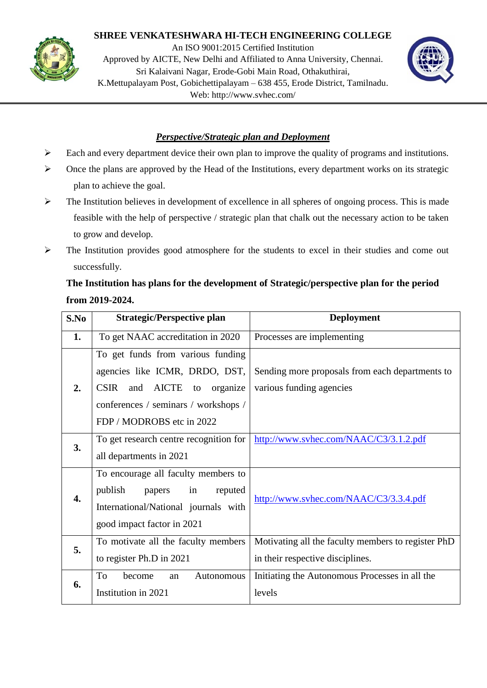

## **SHREE VENKATESHWARA HI-TECH ENGINEERING COLLEGE**

An ISO 9001:2015 Certified Institution Approved by AICTE, New Delhi and Affiliated to Anna University, Chennai. Sri Kalaivani Nagar, Erode-Gobi Main Road, Othakuthirai, K.Mettupalayam Post, Gobichettipalayam – 638 455, Erode District, Tamilnadu. Web: http://www.svhec.com/



## *Perspective/Strategic plan and Deployment*

- $\triangleright$  Each and every department device their own plan to improve the quality of programs and institutions.
- $\triangleright$  Once the plans are approved by the Head of the Institutions, every department works on its strategic plan to achieve the goal.
- $\triangleright$  The Institution believes in development of excellence in all spheres of ongoing process. This is made feasible with the help of perspective / strategic plan that chalk out the necessary action to be taken to grow and develop.
- $\triangleright$  The Institution provides good atmosphere for the students to excel in their studies and come out successfully.

## **The Institution has plans for the development of Strategic/perspective plan for the period from 2019-2024.**

| S.No | <b>Strategic/Perspective plan</b>                                                                                                                      | <b>Deployment</b>                                                                      |
|------|--------------------------------------------------------------------------------------------------------------------------------------------------------|----------------------------------------------------------------------------------------|
| 1.   | To get NAAC accreditation in 2020                                                                                                                      | Processes are implementing                                                             |
| 2.   | To get funds from various funding<br>agencies like ICMR, DRDO, DST,<br>and AICTE<br><b>CSIR</b><br>to organize<br>conferences / seminars / workshops / | Sending more proposals from each departments to<br>various funding agencies            |
|      | FDP / MODROBS etc in 2022                                                                                                                              |                                                                                        |
| 3.   | To get research centre recognition for<br>all departments in 2021                                                                                      | http://www.svhec.com/NAAC/C3/3.1.2.pdf                                                 |
| 4.   | To encourage all faculty members to<br>publish<br>in<br>reputed<br>papers<br>International/National journals with<br>good impact factor in 2021        | http://www.syhec.com/NAAC/C3/3.3.4.pdf                                                 |
| 5.   | To motivate all the faculty members<br>to register Ph.D in 2021                                                                                        | Motivating all the faculty members to register PhD<br>in their respective disciplines. |
| 6.   | To<br>become<br>Autonomous<br>an<br>Institution in 2021                                                                                                | Initiating the Autonomous Processes in all the<br>levels                               |